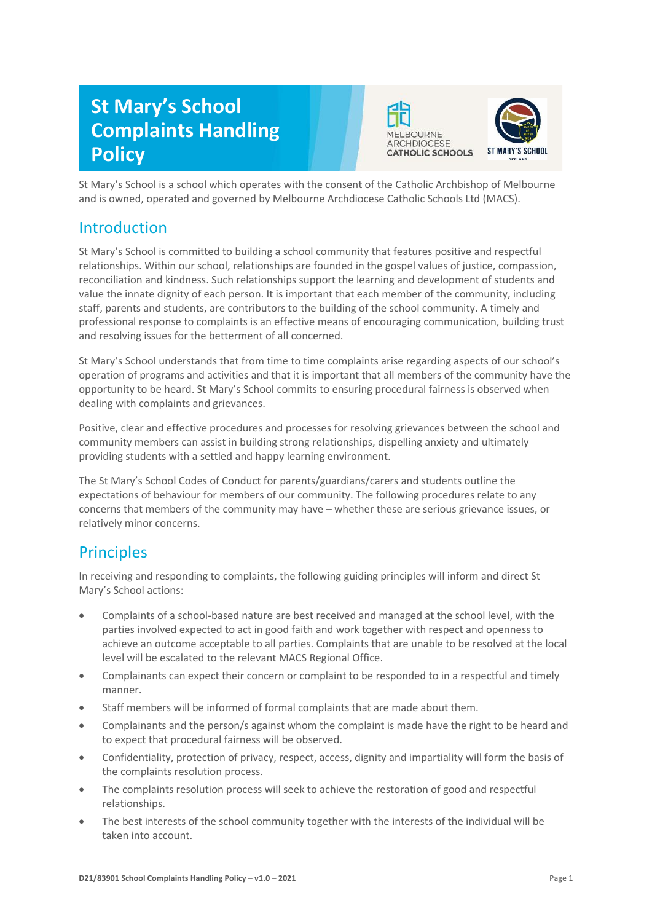# **St Mary's School Complaints Handling Policy**





St Mary's School is a school which operates with the consent of the Catholic Archbishop of Melbourne and is owned, operated and governed by Melbourne Archdiocese Catholic Schools Ltd (MACS).

### Introduction

St Mary's School is committed to building a school community that features positive and respectful relationships. Within our school, relationships are founded in the gospel values of justice, compassion, reconciliation and kindness. Such relationships support the learning and development of students and value the innate dignity of each person. It is important that each member of the community, including staff, parents and students, are contributors to the building of the school community. A timely and professional response to complaints is an effective means of encouraging communication, building trust and resolving issues for the betterment of all concerned.

St Mary's School understands that from time to time complaints arise regarding aspects of our school's operation of programs and activities and that it is important that all members of the community have the opportunity to be heard. St Mary's School commits to ensuring procedural fairness is observed when dealing with complaints and grievances.

Positive, clear and effective procedures and processes for resolving grievances between the school and community members can assist in building strong relationships, dispelling anxiety and ultimately providing students with a settled and happy learning environment.

The St Mary's School Codes of Conduct for parents/guardians/carers and students outline the expectations of behaviour for members of our community. The following procedures relate to any concerns that members of the community may have – whether these are serious grievance issues, or relatively minor concerns.

# **Principles**

In receiving and responding to complaints, the following guiding principles will inform and direct St Mary's School actions:

- Complaints of a school-based nature are best received and managed at the school level, with the parties involved expected to act in good faith and work together with respect and openness to achieve an outcome acceptable to all parties. Complaints that are unable to be resolved at the local level will be escalated to the relevant MACS Regional Office.
- Complainants can expect their concern or complaint to be responded to in a respectful and timely manner.
- Staff members will be informed of formal complaints that are made about them.
- Complainants and the person/s against whom the complaint is made have the right to be heard and to expect that procedural fairness will be observed.
- Confidentiality, protection of privacy, respect, access, dignity and impartiality will form the basis of the complaints resolution process.
- The complaints resolution process will seek to achieve the restoration of good and respectful relationships.
- The best interests of the school community together with the interests of the individual will be taken into account.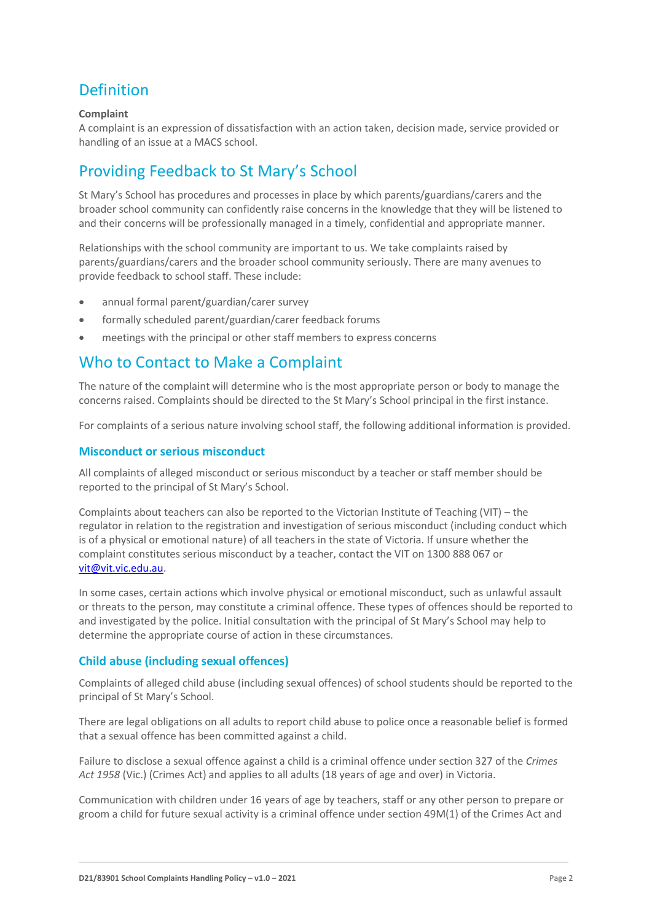# Definition

### **Complaint**

A complaint is an expression of dissatisfaction with an action taken, decision made, service provided or handling of an issue at a MACS school.

# Providing Feedback to St Mary's School

St Mary's School has procedures and processes in place by which parents/guardians/carers and the broader school community can confidently raise concerns in the knowledge that they will be listened to and their concerns will be professionally managed in a timely, confidential and appropriate manner.

Relationships with the school community are important to us. We take complaints raised by parents/guardians/carers and the broader school community seriously. There are many avenues to provide feedback to school staff. These include:

- annual formal parent/guardian/carer survey
- formally scheduled parent/guardian/carer feedback forums
- meetings with the principal or other staff members to express concerns

### Who to Contact to Make a Complaint

The nature of the complaint will determine who is the most appropriate person or body to manage the concerns raised. Complaints should be directed to the St Mary's School principal in the first instance.

For complaints of a serious nature involving school staff, the following additional information is provided.

### **Misconduct or serious misconduct**

All complaints of alleged misconduct or serious misconduct by a teacher or staff member should be reported to the principal of St Mary's School.

Complaints about teachers can also be reported to the Victorian Institute of Teaching (VIT) – the regulator in relation to the registration and investigation of serious misconduct (including conduct which is of a physical or emotional nature) of all teachers in the state of Victoria. If unsure whether the complaint constitutes serious misconduct by a teacher, contact the VIT on 1300 888 067 or [vit@vit.vic.edu.au.](mailto:vit@vit.vic.edu.au)

In some cases, certain actions which involve physical or emotional misconduct, such as unlawful assault or threats to the person, may constitute a criminal offence. These types of offences should be reported to and investigated by the police. Initial consultation with the principal of St Mary's School may help to determine the appropriate course of action in these circumstances.

### **Child abuse (including sexual offences)**

Complaints of alleged child abuse (including sexual offences) of school students should be reported to the principal of St Mary's School.

There are legal obligations on all adults to report child abuse to police once a reasonable belief is formed that a sexual offence has been committed against a child.

Failure to disclose a sexual offence against a child is a criminal offence under section 327 of the *Crimes Act 1958* (Vic.) (Crimes Act) and applies to all adults (18 years of age and over) in Victoria.

Communication with children under 16 years of age by teachers, staff or any other person to prepare or groom a child for future sexual activity is a criminal offence under section 49M(1) of the Crimes Act and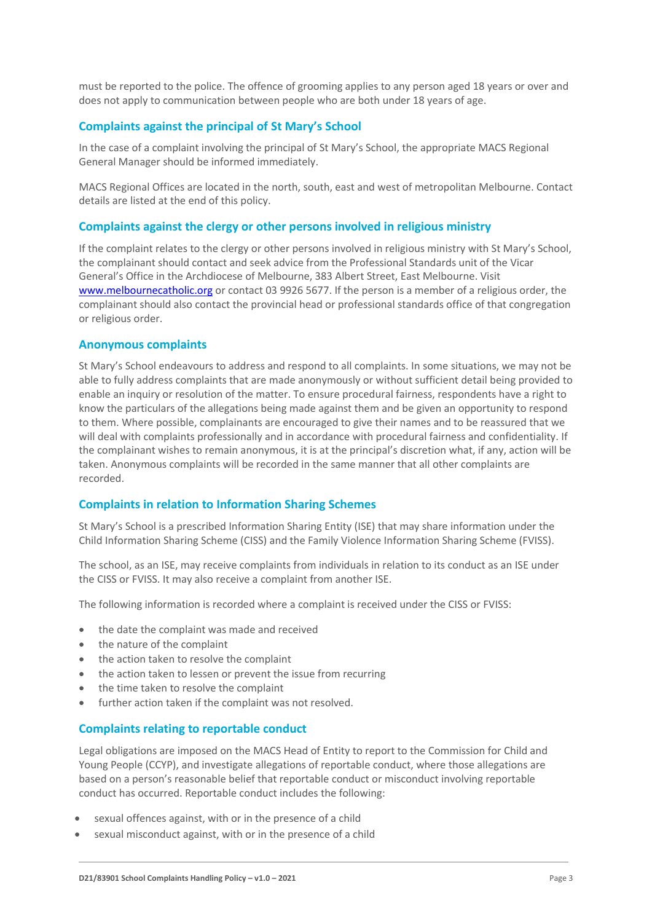must be reported to the police. The offence of grooming applies to any person aged 18 years or over and does not apply to communication between people who are both under 18 years of age.

### **Complaints against the principal of St Mary's School**

In the case of a complaint involving the principal of St Mary's School, the appropriate MACS Regional General Manager should be informed immediately.

MACS Regional Offices are located in the north, south, east and west of metropolitan Melbourne. Contact details are listed at the end of this policy.

#### **Complaints against the clergy or other persons involved in religious ministry**

If the complaint relates to the clergy or other persons involved in religious ministry with St Mary's School, the complainant should contact and seek advice from the Professional Standards unit of the Vicar General's Office in the Archdiocese of Melbourne, 383 Albert Street, East Melbourne. Visit [www.melbournecatholic.org](http://www.melbournecatholic.org/) or contact 03 9926 5677. If the person is a member of a religious order, the complainant should also contact the provincial head or professional standards office of that congregation or religious order.

#### **Anonymous complaints**

St Mary's School endeavours to address and respond to all complaints. In some situations, we may not be able to fully address complaints that are made anonymously or without sufficient detail being provided to enable an inquiry or resolution of the matter. To ensure procedural fairness, respondents have a right to know the particulars of the allegations being made against them and be given an opportunity to respond to them. Where possible, complainants are encouraged to give their names and to be reassured that we will deal with complaints professionally and in accordance with procedural fairness and confidentiality. If the complainant wishes to remain anonymous, it is at the principal's discretion what, if any, action will be taken. Anonymous complaints will be recorded in the same manner that all other complaints are recorded.

#### **Complaints in relation to Information Sharing Schemes**

St Mary's School is a prescribed Information Sharing Entity (ISE) that may share information under the Child Information Sharing Scheme (CISS) and the Family Violence Information Sharing Scheme (FVISS).

The school, as an ISE, may receive complaints from individuals in relation to its conduct as an ISE under the CISS or FVISS. It may also receive a complaint from another ISE.

The following information is recorded where a complaint is received under the CISS or FVISS:

- the date the complaint was made and received
- the nature of the complaint
- the action taken to resolve the complaint
- the action taken to lessen or prevent the issue from recurring
- the time taken to resolve the complaint
- further action taken if the complaint was not resolved.

#### **Complaints relating to reportable conduct**

Legal obligations are imposed on the MACS Head of Entity to report to the Commission for Child and Young People (CCYP), and investigate allegations of reportable conduct, where those allegations are based on a person's reasonable belief that reportable conduct or misconduct involving reportable conduct has occurred. Reportable conduct includes the following:

- sexual offences against, with or in the presence of a child
- sexual misconduct against, with or in the presence of a child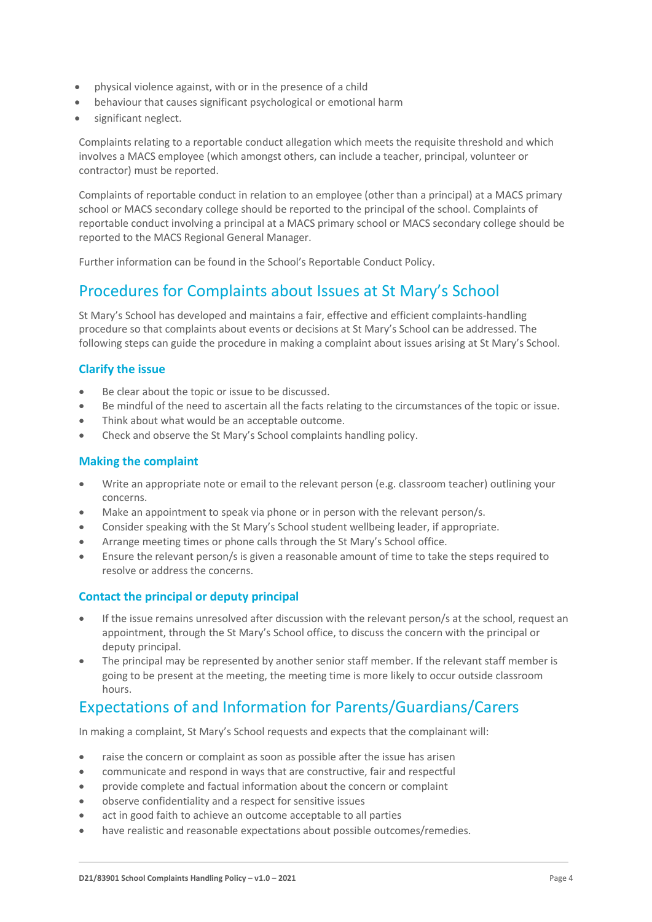- physical violence against, with or in the presence of a child
- behaviour that causes significant psychological or emotional harm
- significant neglect.

Complaints relating to a reportable conduct allegation which meets the requisite threshold and which involves a MACS employee (which amongst others, can include a teacher, principal, volunteer or contractor) must be reported.

Complaints of reportable conduct in relation to an employee (other than a principal) at a MACS primary school or MACS secondary college should be reported to the principal of the school. Complaints of reportable conduct involving a principal at a MACS primary school or MACS secondary college should be reported to the MACS Regional General Manager.

Further information can be found in the School's Reportable Conduct Policy.

### Procedures for Complaints about Issues at St Mary's School

St Mary's School has developed and maintains a fair, effective and efficient complaints-handling procedure so that complaints about events or decisions at St Mary's School can be addressed. The following steps can guide the procedure in making a complaint about issues arising at St Mary's School.

### **Clarify the issue**

- Be clear about the topic or issue to be discussed.
- Be mindful of the need to ascertain all the facts relating to the circumstances of the topic or issue.
- Think about what would be an acceptable outcome.
- Check and observe the St Mary's School complaints handling policy.

### **Making the complaint**

- Write an appropriate note or email to the relevant person (e.g. classroom teacher) outlining your concerns.
- Make an appointment to speak via phone or in person with the relevant person/s.
- Consider speaking with the St Mary's School student wellbeing leader, if appropriate.
- Arrange meeting times or phone calls through the St Mary's School office.
- Ensure the relevant person/s is given a reasonable amount of time to take the steps required to resolve or address the concerns.

### **Contact the principal or deputy principal**

- If the issue remains unresolved after discussion with the relevant person/s at the school, request an appointment, through the St Mary's School office, to discuss the concern with the principal or deputy principal.
- The principal may be represented by another senior staff member. If the relevant staff member is going to be present at the meeting, the meeting time is more likely to occur outside classroom hours.

# Expectations of and Information for Parents/Guardians/Carers

In making a complaint, St Mary's School requests and expects that the complainant will:

- raise the concern or complaint as soon as possible after the issue has arisen
- communicate and respond in ways that are constructive, fair and respectful
- provide complete and factual information about the concern or complaint
- observe confidentiality and a respect for sensitive issues
- act in good faith to achieve an outcome acceptable to all parties
- have realistic and reasonable expectations about possible outcomes/remedies.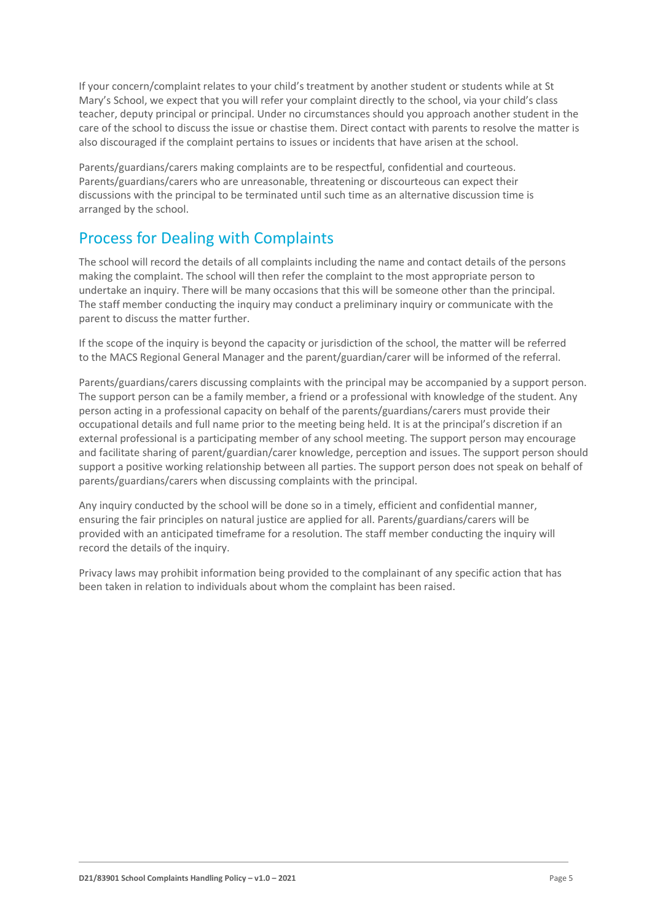If your concern/complaint relates to your child's treatment by another student or students while at St Mary's School, we expect that you will refer your complaint directly to the school, via your child's class teacher, deputy principal or principal. Under no circumstances should you approach another student in the care of the school to discuss the issue or chastise them. Direct contact with parents to resolve the matter is also discouraged if the complaint pertains to issues or incidents that have arisen at the school.

Parents/guardians/carers making complaints are to be respectful, confidential and courteous. Parents/guardians/carers who are unreasonable, threatening or discourteous can expect their discussions with the principal to be terminated until such time as an alternative discussion time is arranged by the school.

# Process for Dealing with Complaints

The school will record the details of all complaints including the name and contact details of the persons making the complaint. The school will then refer the complaint to the most appropriate person to undertake an inquiry. There will be many occasions that this will be someone other than the principal. The staff member conducting the inquiry may conduct a preliminary inquiry or communicate with the parent to discuss the matter further.

If the scope of the inquiry is beyond the capacity or jurisdiction of the school, the matter will be referred to the MACS Regional General Manager and the parent/guardian/carer will be informed of the referral.

Parents/guardians/carers discussing complaints with the principal may be accompanied by a support person. The support person can be a family member, a friend or a professional with knowledge of the student. Any person acting in a professional capacity on behalf of the parents/guardians/carers must provide their occupational details and full name prior to the meeting being held. It is at the principal's discretion if an external professional is a participating member of any school meeting. The support person may encourage and facilitate sharing of parent/guardian/carer knowledge, perception and issues. The support person should support a positive working relationship between all parties. The support person does not speak on behalf of parents/guardians/carers when discussing complaints with the principal.

Any inquiry conducted by the school will be done so in a timely, efficient and confidential manner, ensuring the fair principles on natural justice are applied for all. Parents/guardians/carers will be provided with an anticipated timeframe for a resolution. The staff member conducting the inquiry will record the details of the inquiry.

Privacy laws may prohibit information being provided to the complainant of any specific action that has been taken in relation to individuals about whom the complaint has been raised.